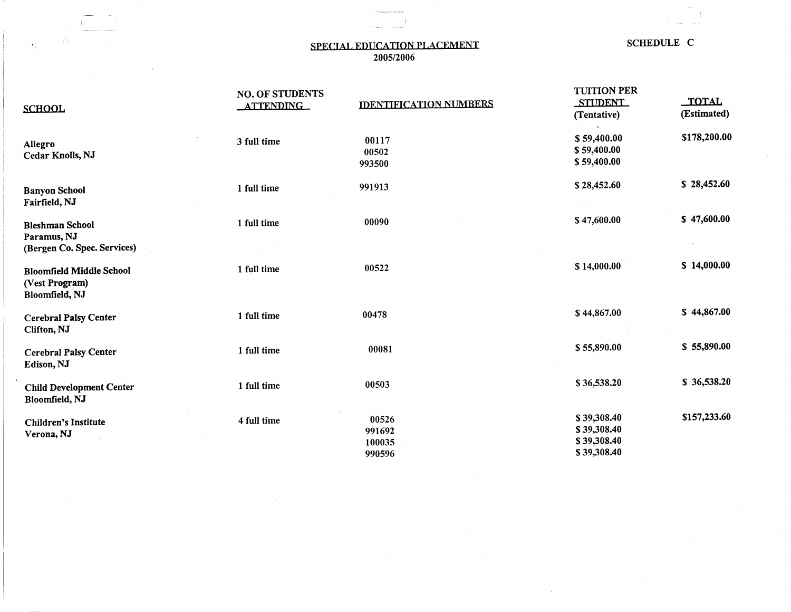## SPECIAL EDUCATION PLACEMENT SCHEDULE C 2005/2006

---- ~-- ---- --

| <b>SCHOOL</b>                                                        | <b>NO. OF STUDENTS</b><br><b>ATTENDING</b> | <b>IDENTIFICATION NUMBERS</b>       | <b>TUITION PER</b><br><b>STUDENT</b><br>(Tentative)      | <b>TOTAL</b><br>(Estimated) |
|----------------------------------------------------------------------|--------------------------------------------|-------------------------------------|----------------------------------------------------------|-----------------------------|
| Allegro<br>Cedar Knolls, NJ                                          | 3 full time                                | 00117<br>00502<br>993500            | \$59,400.00<br>\$59,400.00<br>\$59,400.00                | \$178,200.00                |
| <b>Banyon School</b><br>Fairfield, NJ                                | 1 full time                                | 991913                              | \$28,452.60                                              | \$28,452.60                 |
| <b>Bleshman School</b><br>Paramus, NJ<br>(Bergen Co. Spec. Services) | 1 full time                                | 00090                               | \$47,600.00                                              | \$47,600.00                 |
| <b>Bloomfield Middle School</b><br>(Vest Program)<br>Bloomfield, NJ  | 1 full time                                | 00522                               | \$14,000.00                                              | \$14,000.00                 |
| <b>Cerebral Palsy Center</b><br>Clifton, NJ                          | 1 full time                                | 00478                               | \$44,867.00                                              | \$44,867.00                 |
| <b>Cerebral Palsy Center</b><br>Edison, NJ                           | 1 full time                                | 00081                               | \$55,890.00                                              | \$55,890.00                 |
| <b>Child Development Center</b><br>Bloomfield, NJ                    | 1 full time                                | 00503                               | \$36,538.20                                              | \$36,538.20                 |
| <b>Children's Institute</b><br>Verona, NJ                            | 4 full time                                | 00526<br>991692<br>100035<br>990596 | \$39,308.40<br>\$39,308.40<br>\$39,308.40<br>\$39,308.40 | \$157,233.60                |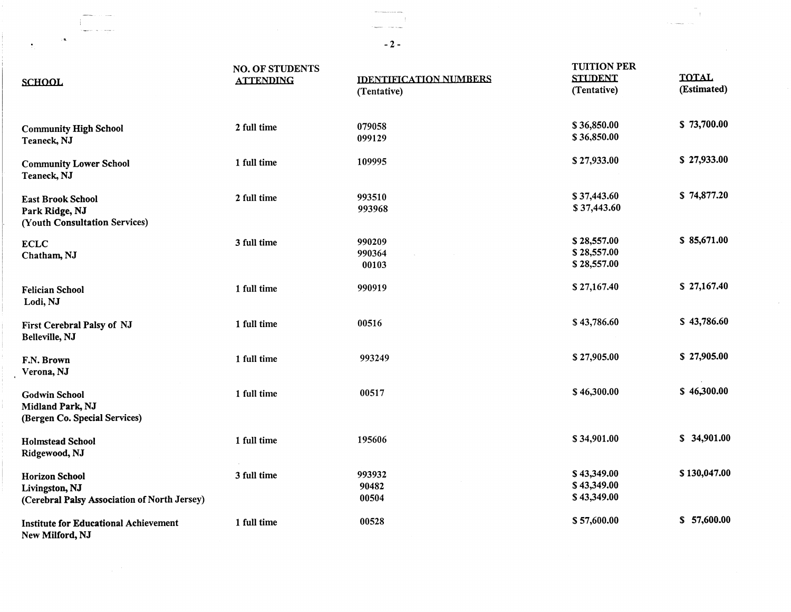$-2$ 

-- ---- -~- - --

 $\mathcal{L}_{\mathrm{eff}}$ 

| <b>SCHOOL</b>                                                                           | <b>NO. OF STUDENTS</b><br><b>ATTENDING</b> | <b>IDENTIFICATION NUMBERS</b><br>(Tentative) | <b>TUITION PER</b><br><b>STUDENT</b><br>(Tentative) | <b>TOTAL</b><br>(Estimated) |
|-----------------------------------------------------------------------------------------|--------------------------------------------|----------------------------------------------|-----------------------------------------------------|-----------------------------|
| <b>Community High School</b><br>Teaneck, NJ                                             | 2 full time                                | 079058<br>099129                             | \$36,850.00<br>\$36,850.00                          | \$73,700.00                 |
| <b>Community Lower School</b><br>Teaneck, NJ                                            | 1 full time                                | 109995                                       | \$27,933.00                                         | \$27,933.00                 |
| <b>East Brook School</b><br>Park Ridge, NJ<br>(Youth Consultation Services)             | 2 full time                                | 993510<br>993968                             | \$37,443.60<br>\$37,443.60                          | \$74,877.20                 |
| <b>ECLC</b><br>Chatham, NJ                                                              | 3 full time                                | 990209<br>990364<br>00103                    | \$28,557.00<br>\$28,557.00<br>\$28,557.00           | \$85,671.00                 |
| <b>Felician School</b><br>Lodi, NJ                                                      | 1 full time                                | 990919                                       | \$27,167.40                                         | \$27,167.40                 |
| First Cerebral Palsy of NJ<br>Belleville, NJ                                            | 1 full time                                | 00516                                        | \$43,786.60                                         | \$43,786.60                 |
| F.N. Brown<br>Verona, NJ                                                                | 1 full time                                | 993249                                       | \$27,905.00                                         | \$27,905.00                 |
| <b>Godwin School</b><br>Midland Park, NJ<br>(Bergen Co. Special Services)               | 1 full time                                | 00517                                        | \$46,300.00                                         | \$46,300.00                 |
| <b>Holmstead School</b><br>Ridgewood, NJ                                                | 1 full time                                | 195606                                       | \$34,901.00                                         | \$34,901.00                 |
| <b>Horizon School</b><br>Livingston, NJ<br>(Cerebral Palsy Association of North Jersey) | 3 full time                                | 993932<br>90482<br>00504                     | \$43,349.00<br>\$43,349.00<br>\$43,349.00           | \$130,047.00                |
| <b>Institute for Educational Achievement</b><br>New Milford, NJ                         | 1 full time                                | 00528                                        | \$57,600.00                                         | 57,600.00<br>S.             |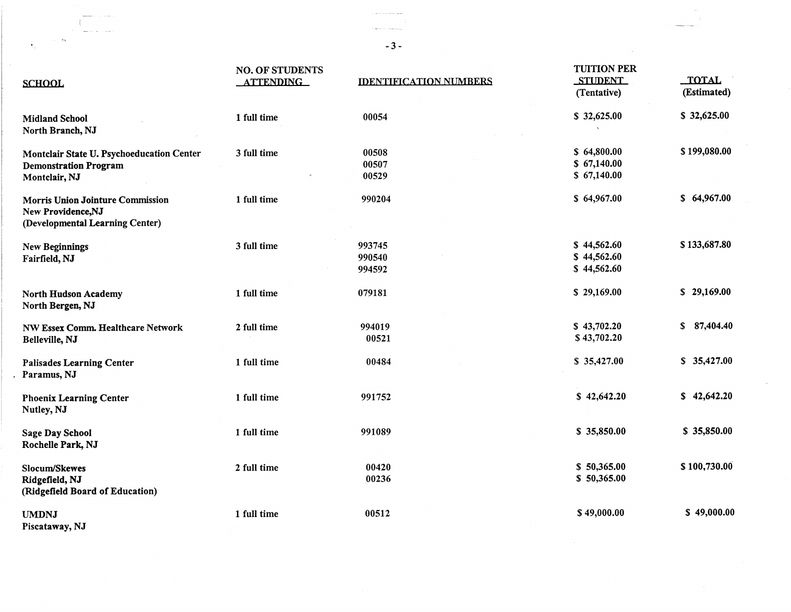|                                                                                                  | <b>NO. OF STUDENTS</b> |                               | <b>TUITION PER</b>                        |              |
|--------------------------------------------------------------------------------------------------|------------------------|-------------------------------|-------------------------------------------|--------------|
| <b>SCHOOL</b>                                                                                    | <b>ATTENDING</b>       | <b>IDENTIFICATION NUMBERS</b> | <b>STUDENT</b>                            | <b>TOTAL</b> |
|                                                                                                  |                        |                               | (Tentative)                               | (Estimated)  |
| <b>Midland School</b><br>North Branch, NJ                                                        | 1 full time            | 00054                         | \$32,625.00                               | \$32,625.00  |
| Montclair State U. Psychoeducation Center<br><b>Demonstration Program</b><br>Montclair, NJ       | 3 full time            | 00508<br>00507<br>00529       | \$64,800.00<br>\$67,140.00<br>\$67,140.00 | \$199,080.00 |
| <b>Morris Union Jointure Commission</b><br>New Providence, NJ<br>(Developmental Learning Center) | 1 full time            | 990204                        | \$64,967.00                               | \$64,967.00  |
| <b>New Beginnings</b><br>Fairfield, NJ                                                           | 3 full time            | 993745<br>990540<br>994592    | \$44,562.60<br>\$44,562.60<br>\$44,562.60 | \$133,687.80 |
| <b>North Hudson Academy</b><br>North Bergen, NJ                                                  | 1 full time            | 079181                        | \$29,169.00                               | \$29,169.00  |
| <b>NW Essex Comm. Healthcare Network</b><br>Belleville, NJ                                       | 2 full time            | 994019<br>00521               | \$43,702.20<br>\$43,702.20                | \$87,404.40  |
| <b>Palisades Learning Center</b><br>Paramus, NJ                                                  | 1 full time            | 00484                         | \$35,427.00                               | \$35,427.00  |
| <b>Phoenix Learning Center</b><br>Nutley, NJ                                                     | 1 full time            | 991752                        | \$42,642.20                               | \$42,642.20  |
| <b>Sage Day School</b><br>Rochelle Park, NJ                                                      | 1 full time            | 991089                        | \$35,850.00                               | \$35,850.00  |
| Slocum/Skewes<br>Ridgefield, NJ<br>(Ridgefield Board of Education)                               | 2 full time            | 00420<br>00236                | \$50,365.00<br>\$50,365.00                | \$100,730.00 |
| <b>UMDNJ</b><br><b>BIT</b>                                                                       | 1 full time            | 00512                         | \$49,000.00                               | \$49,000.00  |

**Piscataway, NJ** 

 $\ddot{\phantom{1}}$ 

 $\sim$ 

-3-

 $\label{eq:1} \mathcal{L}_{\text{max}} = \mathcal{L}_{\text{max}} + \mathcal{L}_{\text{max}}$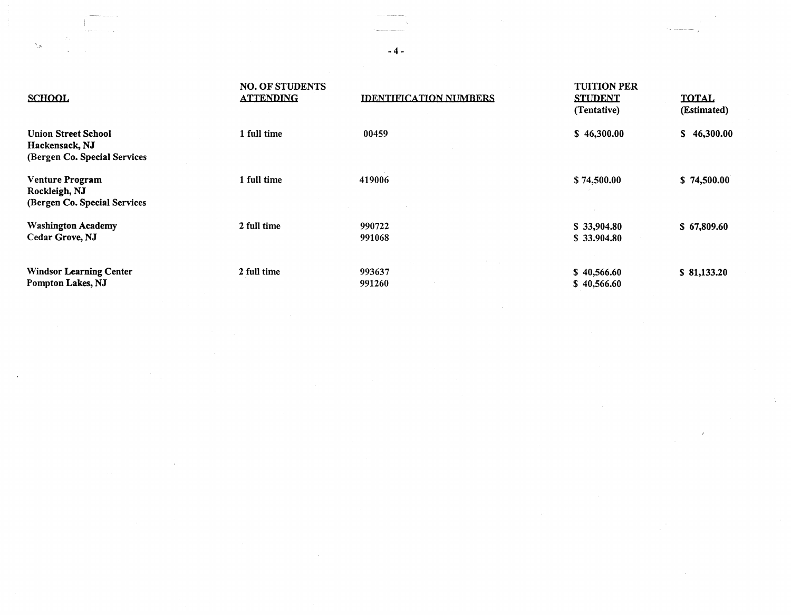| <b>Carlos Con</b>                                                            |                                            |                               |                                                     | $\mathcal{C}$ , and the component company |
|------------------------------------------------------------------------------|--------------------------------------------|-------------------------------|-----------------------------------------------------|-------------------------------------------|
| Λ¥.<br>ैं, अ                                                                 |                                            | $-4-$                         |                                                     |                                           |
| <b>SCHOOL</b>                                                                | <b>NO. OF STUDENTS</b><br><b>ATTENDING</b> | <b>IDENTIFICATION NUMBERS</b> | <b>TUITION PER</b><br><b>STUDENT</b><br>(Tentative) | <b>TOTAL</b><br>(Estimated)               |
| <b>Union Street School</b><br>Hackensack, NJ<br>(Bergen Co. Special Services | 1 full time                                | 00459                         | \$46,300.00                                         | 46,300.00<br>S.                           |
| <b>Venture Program</b><br>Rockleigh, NJ<br>(Bergen Co. Special Services      | 1 full time                                | 419006                        | \$74,500.00                                         | \$74,500.00                               |
| <b>Washington Academy</b><br>Cedar Grove, NJ                                 | 2 full time                                | 990722<br>991068              | \$33,904.80<br>\$33.904.80                          | \$67,809.60                               |
| <b>Windsor Learning Center</b><br>Pompton Lakes, NJ                          | 2 full time                                | 993637<br>991260              | \$40,566.60<br>\$40,566.60                          | \$81,133.20                               |

 $\mathcal{L}_{\text{max}}$  and  $\mathcal{L}_{\text{max}}$ 

 $\label{eq:2} \mathcal{F} = \mathcal{F} \left( \mathcal{F} \right)$ 

 $\label{eq:2} \frac{1}{\sqrt{2}}\int_{0}^{\infty}\frac{1}{\sqrt{2\pi}}\left(\frac{1}{\sqrt{2\pi}}\right)^{2}d\mu_{\rm{eff}}$